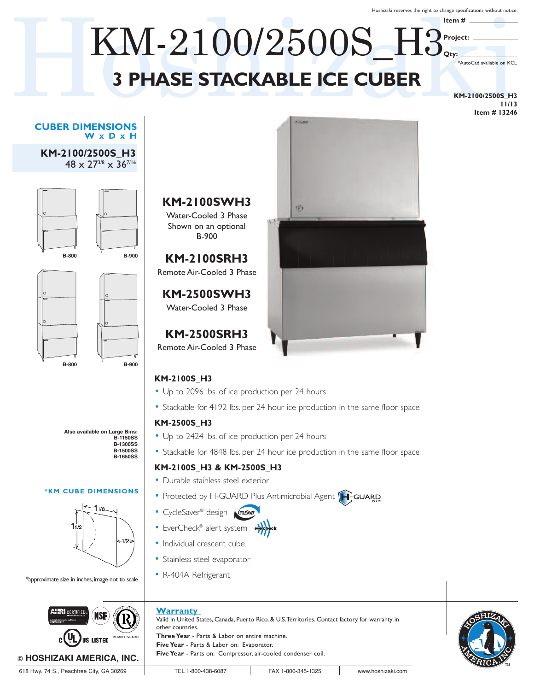Hoshizaki reserves the right to change specifications without notice.

**Item #**

**Project:**

**Qty:**

# $\text{KM-}2100/2500 \text{S}$   $\text{H3}_{\text{cry}}$ <br>  $\text{PHASE STACKABLEICE CUBER}$ **3 PHASE STACKABLE ICE CUBER** KM-2100/2500S\_H3

**KM-2100/2500S\_H3 11/13 Item # 13246**

\*AutoCad available on KCL

#### **CUBER DIMENSIONS W x D x H**

**KM-2100/2500S\_H3** 48 x 273/8 x 367/16





**Also available on Large Bins: B-1150SS B-1300SS B-1500SS B-1650SS**

#### **\*KM CUBE DIMENSIONS**



\*approximate size in inches, image not to scale



#### **KM-2100SWH3** Water-Cooled 3 Phase

Shown on an optional B-900

**KM-2100SRH3** Remote Air-Cooled 3 Phase

**KM-2500SWH3** Water-Cooled 3 Phase

# **KM-2500SRH3**

Remote Air-Cooled 3 Phase

### **KM-2100S\_H3**

- Up to 2096 lbs. of ice production per 24 hours
- Stackable for 4192 lbs. per 24 hour ice production in the same floor space

(f)

#### **KM-2500S\_H3**

- Up to 2424 lbs. of ice production per 24 hours
- Stackable for 4848 lbs. per 24 hour ice production in the same floor space

#### **KM-2100S\_H3 & KM-2500S\_H3**

- Durable stainless steel exterior
- Protected by H-GUARD Plus Antimicrobial Agent [H-GUARD
- CycleSaver ® design
- EverCheck® alert system evercheck
- Individual crescent cube
- Stainless steel evaporator
- R-404A Refrigerant

### **Warranty**

Valid in United States, Canada, Puerto Rico, & U.S.Territories. Contact factory for warranty in other countries. **Three Year** - Parts & Labor on entire machine. **Five Year** - Parts & Labor on: Evaporator. **Five Year** - Parts on: Compressor, air-cooled condenser coil.



618 Hwy. 74 S., Peachtree City, GA 30269 TEL 1-800-438-6087 FAX 1-800-345-1325 www.hoshizaki.com